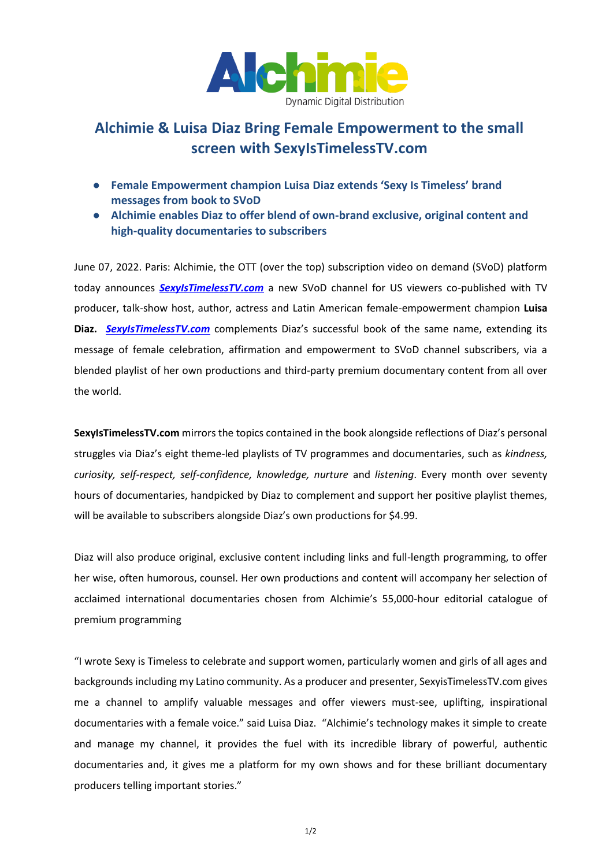

## **Alchimie & Luisa Diaz Bring Female Empowerment to the small screen with SexyIsTimelessTV.com**

- **Female Empowerment champion Luisa Diaz extends 'Sexy Is Timeless' brand messages from book to SVoD**
- **Alchimie enables Diaz to offer blend of own-brand exclusive, original content and high-quality documentaries to subscribers**

June 07, 2022. Paris: Alchimie, the OTT (over the top) subscription video on demand (SVoD) platform today announces *[SexyIsTimelessTV.com](http://www.sexyistimelesstv.com/)* a new SVoD channel for US viewers co-published with TV producer, talk-show host, author, actress and Latin American female-empowerment champion **Luisa Diaz.** *[SexyIsTimelessTV.com](http://www.sexyistimelesstv.com/)* complements Diaz's successful book of the same name, extending its message of female celebration, affirmation and empowerment to SVoD channel subscribers, via a blended playlist of her own productions and third-party premium documentary content from all over the world.

**SexyIsTimelessTV.com** mirrors the topics contained in the book alongside reflections of Diaz's personal struggles via Diaz's eight theme-led playlists of TV programmes and documentaries, such as *kindness, curiosity, self-respect, self-confidence, knowledge, nurture* and *listening*. Every month over seventy hours of documentaries, handpicked by Diaz to complement and support her positive playlist themes, will be available to subscribers alongside Diaz's own productions for \$4.99.

Diaz will also produce original, exclusive content including links and full-length programming, to offer her wise, often humorous, counsel. Her own productions and content will accompany her selection of acclaimed international documentaries chosen from Alchimie's 55,000-hour editorial catalogue of premium programming

"I wrote Sexy is Timeless to celebrate and support women, particularly women and girls of all ages and backgrounds including my Latino community. As a producer and presenter, SexyisTimelessTV.com gives me a channel to amplify valuable messages and offer viewers must-see, uplifting, inspirational documentaries with a female voice." said Luisa Diaz. "Alchimie's technology makes it simple to create and manage my channel, it provides the fuel with its incredible library of powerful, authentic documentaries and, it gives me a platform for my own shows and for these brilliant documentary producers telling important stories."